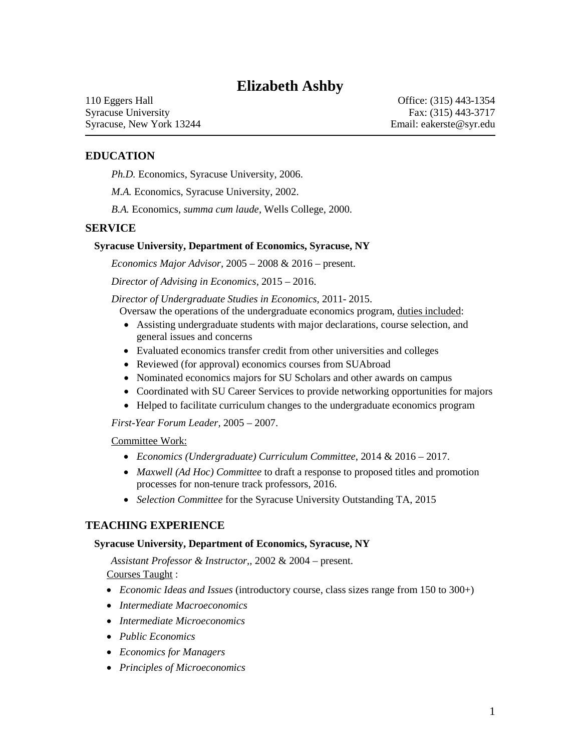# **Elizabeth Ashby**

110 Eggers Hall Syracuse University Syracuse, New York 13244

Office: (315) 443-1354 Fax: (315) 443-3717 Email: eakerste@syr.edu

## **EDUCATION**

*Ph.D.* Economics, Syracuse University, 2006.

*M.A.* Economics, Syracuse University, 2002.

*B.A.* Economics, *summa cum laude*, Wells College, 2000.

### **SERVICE**

#### **Syracuse University, Department of Economics, Syracuse, NY**

*Economics Major Advisor,* 2005 – 2008 & 2016 – present.

*Director of Advising in Economics,* 2015 – 2016.

*Director of Undergraduate Studies in Economics,* 2011- 2015.

Oversaw the operations of the undergraduate economics program, duties included:

- Assisting undergraduate students with major declarations, course selection, an d general issues and concerns
- Evaluated economics transfer credit from other universities and colleges
- Reviewed (for approval) economics courses from SUAbroad
- Nominated economics majors for SU Scholars and other awards on campus
- Coordinated with SU Career Services to provide networking opportunities for majors
- Helped to facilitate curriculum changes to the undergraduate economics progra m

*First-Year Forum Leader,* 2005 – 2007.

### Committee Work:

- *Economics (Undergraduate) Curriculum Committee*, 2014 & 2016 2017.
- *Maxwell (Ad Hoc) Committee* to draft a response to proposed titles and promot ion processes for non-tenure track professors, 2016.
- *Selection Committee* for the Syracuse University Outstanding TA, 2015

### **TEACHING EXPERIENCE**

#### **Syracuse University, Department of Economics, Syracuse, NY**

*Assistant Professor & Instructor,,* 2002 & 2004 – present. Courses Taught :

- *Economic Ideas and Issues* (introductory course, class sizes range from 150 to 300+)
- *Intermediate Macroeconomics*
- *Intermediate Microeconomics*
- *Public Economics*
- *Economics for Managers*
- *Principles of Microeconomics*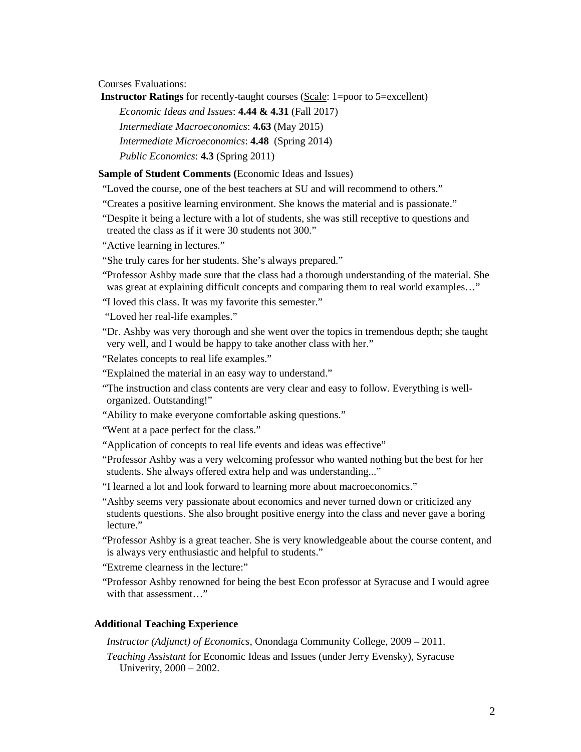Courses Evaluations:

**Instructor Ratings** for recently-taught courses (Scale: 1=poor to 5=excellent)

*Economic Ideas and Issues*: **4.44 & 4.31** (Fall 2017)

*Intermediate Macroeconomics*: **4.63** (May 2015)

 *Intermediate Microeconomics*: **4.48** (Spring 2014)

*Public Economics*: **4.3** (Spring 2011)

**Sample of Student Comments (**Economic Ideas and Issues)

"Loved the course, one of the best teachers at SU and will recommend to others."

"Loved the course, one of the best teachers at SU and will recommend to others." "Creates a positive learning environment. She knows the material and is passionate."

 "Despite it being a lecture with a lot of students, she was still receptive to questions and treated the class as if it were 30 students not 300."

"Active learning in lectures."

"She truly cares for her students. She's always prepared."

 was great at explaining difficult concepts and comparing them to real world examples…" "Professor Ashby made sure that the class had a thorough understanding of the material. She

"I loved this class. It was my favorite this semester."

"Loved her real-life examples."

 "Dr. Ashby was very thorough and she went over the topics in tremendous depth; she taught very well, and I would be happy to take another class with her."

"Relates concepts to real life examples."

"Explained the material in an easy way to understand."

organized. Outstanding!" "The instruction and class contents are very clear and easy to follow. Everything is well-

" Ability to make everyone comfortable asking questions."

"Went at a pace perfect for the class."

"Application of concepts to real life events and ideas was effective"

 "Professor Ashby was a very welcoming professor who wanted nothing but the best for her students. She always offered extra help and was understanding..."

"I learned a lot and look forward to learning more about macroeconomics."

"Ashby seems very passionate about economics and never turned down or criticized any students questions. She also brought positive energy into the class and never gave a boring lecture."

 is always very enthusiastic and helpful to students." "Professor Ashby is a great teacher. She is very knowledgeable about the course content, and

 "Extreme clearness in the lecture:" "Professor Ashby renowned for being the best Econ professor at Syracuse and I would agree with that assessment..."

### **Additional Teaching Experience**

*Instructor (Adjunct) of Economics*, Onondaga Community College, 2009 – 2011.

 *Teaching Assistant* for Economic Ideas and Issues (under Jerry Evensky), Syracuse Univerity, 2000 – 2002.